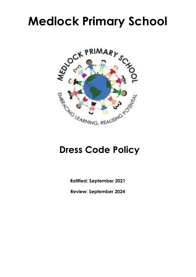# **Medlock Primary School**



## **Dress Code Policy**

**Ratified: September 2021**

**Review: September 2024**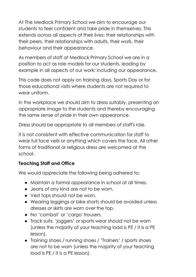At The Medlock Primary School we aim to encourage our students to feel confident and take pride in themselves. This extends across all aspects of their lives: their relationships with their peers, their relationships with adults, their work, their behaviour and their appearance.

As members of staff at Medlock Primary School we are in a position to act as role models for our students, leading by example in all aspects of our work: including our appearance.

This code does not apply on training days, Sports Day or for those educational visits where students are not required to wear uniform.

In the workplace we should aim to dress suitably, presenting an appropriate image to the students and thereby encouraging the same sense of pride in their own appearance.

Dress should be appropriate to all members of staff's role.

It is not consistent with effective communication for staff to wear full face veils or anything which covers the face. All other forms of traditional or religious dress are welcomed at the school.

### **Teaching Staff and Office**

We would appreciate the following being adhered to:

- Maintain a formal appearance in school at all times.
- Jeans of any kind are not to be worn.
- Vest tops should not be worn.
- Wearing leggings or bike shorts should be avoided unless dresses or skirts are worn over the top.
- No 'combat' or 'cargo' trousers.
- Track suits, 'joggers' or sports wear should not be worn (unless the majority of your teaching load is PE / it is a PE lesson).
- Training shoes / running shoes / 'Trainers' / sports shoes are not to be worn (unless the majority of your teaching load is PE / it is a PE lesson).